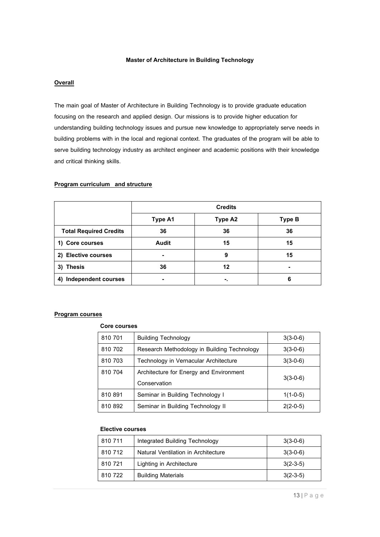### **Master of Architecture in Building Technology**

### **Overall**

The main goal of Master of Architecture in Building Technology is to provide graduate education focusing on the research and applied design. Our missions is to provide higher education for understanding building technology issues and pursue new knowledge to appropriately serve needs in building problems with in the local and regional context. The graduates of the program will be able to serve building technology industry as architect engineer and academic positions with their knowledge and critical thinking skills.

### **Program curriculum and structure**

|                                  | <b>Credits</b> |                |               |
|----------------------------------|----------------|----------------|---------------|
|                                  | <b>Type A1</b> | <b>Type A2</b> | <b>Type B</b> |
| <b>Total Required Credits</b>    | 36             | 36             | 36            |
| 1) Core courses                  | Audit          | 15             | 15            |
| 2) Elective courses              | $\blacksquare$ | 9              | 15            |
| <b>Thesis</b><br>3)              | 36             | 12             |               |
| <b>Independent courses</b><br>4) | $\blacksquare$ | ٠.             | 6             |

### **Program courses**

### **Core courses**

| 810 701 | <b>Building Technology</b>                          | $3(3-0-6)$ |
|---------|-----------------------------------------------------|------------|
| 810 702 | Research Methodology in Building Technology         | $3(3-0-6)$ |
| 810 703 | Technology in Vernacular Architecture<br>$3(3-0-6)$ |            |
| 810 704 | Architecture for Energy and Environment             |            |
|         | Conservation                                        | $3(3-0-6)$ |
| 810 891 | Seminar in Building Technology I                    | $1(1-0-5)$ |
| 810 892 | Seminar in Building Technology II                   | $2(2-0-5)$ |

### **Elective courses**

| 810 711 | Integrated Building Technology<br>$3(3-0-6)$ |            |
|---------|----------------------------------------------|------------|
| 810 712 | Natural Ventilation in Architecture          | $3(3-0-6)$ |
| 810 721 | Lighting in Architecture                     | $3(2-3-5)$ |
| 810 722 | <b>Building Materials</b>                    | $3(2-3-5)$ |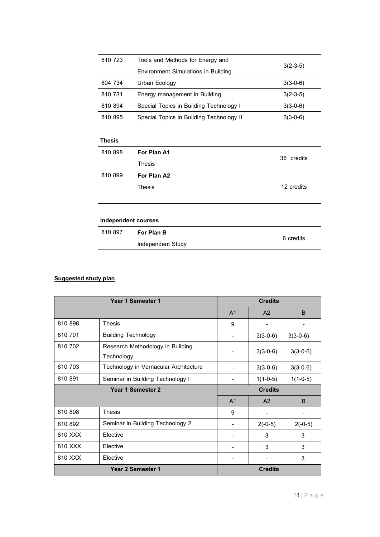| 810 723 | Tools and Methods for Energy and           | $3(2-3-5)$ |  |
|---------|--------------------------------------------|------------|--|
|         | <b>Environment Simulations in Building</b> |            |  |
| 804 734 | Urban Ecology                              | $3(3-0-6)$ |  |
| 810 731 | Energy management in Building              | $3(2-3-5)$ |  |
| 810 894 | Special Topics in Building Technology I    | $3(3-0-6)$ |  |
| 810 895 | Special Topics in Building Technology II   | $3(3-0-6)$ |  |

### **Thesis**

| 810 898 | For Plan A1 |            |  |
|---------|-------------|------------|--|
|         | Thesis      | 36 credits |  |
| 810 899 | For Plan A2 |            |  |
|         | Thesis      | 12 credits |  |
|         |             |            |  |

## **Independent courses**

| 810 897 | <b>For Plan B</b> |           |
|---------|-------------------|-----------|
|         | Independent Study | 6 credits |

## **Suggested study plan**

| Year 1 Semester 1 |                                                | <b>Credits</b> |                |              |
|-------------------|------------------------------------------------|----------------|----------------|--------------|
|                   |                                                | A <sub>1</sub> | A <sub>2</sub> | B            |
| 810 898           | <b>Thesis</b>                                  | 9              |                |              |
| 810 701           | <b>Building Technology</b>                     |                | $3(3-0-6)$     | $3(3-0-6)$   |
| 810 702           | Research Methodology in Building<br>Technology |                | $3(3-0-6)$     | $3(3-0-6)$   |
| 810 703           | Technology in Vernacular Architecture          |                | $3(3-0-6)$     | $3(3-0-6)$   |
| 810 891           | Seminar in Building Technology I               |                | $1(1-0-5)$     | $1(1-0-5)$   |
| Year 1 Semester 2 |                                                | <b>Credits</b> |                |              |
|                   |                                                | A <sub>1</sub> | A <sub>2</sub> | <sub>B</sub> |
| 810 898           | <b>Thesis</b>                                  | 9              |                |              |
| 810 892           |                                                |                |                |              |
|                   | Seminar in Building Technology 2               |                | $2(-0-5)$      | $2(-0-5)$    |
| 810 XXX           | Elective                                       |                | 3              | 3            |
| 810 XXX           | Elective                                       |                | 3              | 3            |
| 810 XXX           | Elective                                       |                |                | 3            |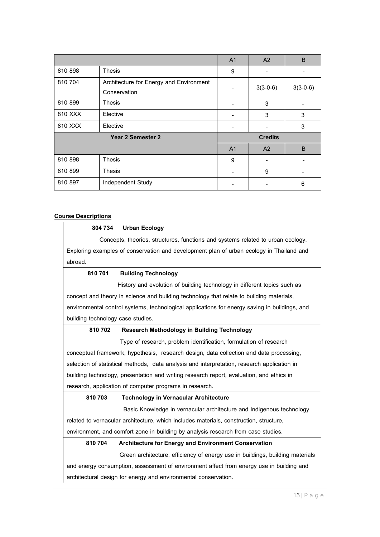|                   |                                         | A <sub>1</sub> | A <sub>2</sub> | B          |
|-------------------|-----------------------------------------|----------------|----------------|------------|
| 810 898           | Thesis                                  | 9              |                |            |
| 810 704           | Architecture for Energy and Environment |                | $3(3-0-6)$     | $3(3-0-6)$ |
|                   | Conservation                            |                |                |            |
| 810 899           | Thesis                                  |                | 3              |            |
| 810 XXX           | Elective                                |                | 3              | 3          |
| 810 XXX           | Elective                                |                |                | 3          |
| Year 2 Semester 2 |                                         |                | <b>Credits</b> |            |
|                   |                                         | A <sub>1</sub> | A <sup>2</sup> | B          |
| 810 898           | <b>Thesis</b>                           | 9              |                |            |
| 810 899           | Thesis                                  |                | 9              |            |
| 810 897           | Independent Study                       |                |                | 6          |

### **Course Descriptions**

### **804 734 Urban Ecology**

Concepts, theories, structures, functions and systems related to urban ecology. Exploring examples of conservation and development plan of urban ecology in Thailand and abroad.

### **810 701 Building Technology**

History and evolution of building technology in different topics such as concept and theory in science and building technology that relate to building materials, environmental control systems, technological applications for energy saving in buildings, and building technology case studies.

#### **810 702 Research Methodology in Building Technology**

Type of research, problem identification, formulation of research conceptual framework, hypothesis, research design, data collection and data processing, selection of statistical methods, data analysis and interpretation, research application in building technology, presentation and writing research report, evaluation, and ethics in research, application of computer programs in research.

### **810 703 Technology in Vernacular Architecture**

 Basic Knowledge in vernacular architecture and Indigenous technology related to vernacular architecture, which includes materials, construction, structure, environment, and comfort zone in building by analysis research from case studies.

#### **810 704 Architecture for Energy and Environment Conservation**

Green architecture, efficiency of energy use in buildings, building materials

and energy consumption, assessment of environment affect from energy use in building and architectural design for energy and environmental conservation.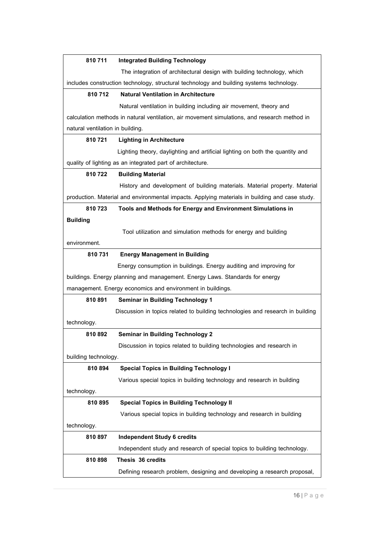| 810711                                                                                       | <b>Integrated Building Technology</b>                                                          |
|----------------------------------------------------------------------------------------------|------------------------------------------------------------------------------------------------|
|                                                                                              | The integration of architectural design with building technology, which                        |
|                                                                                              | includes construction technology, structural technology and building systems technology.       |
| 810712                                                                                       | <b>Natural Ventilation in Architecture</b>                                                     |
|                                                                                              | Natural ventilation in building including air movement, theory and                             |
| calculation methods in natural ventilation, air movement simulations, and research method in |                                                                                                |
| natural ventilation in building.                                                             |                                                                                                |
| 810 721                                                                                      | <b>Lighting in Architecture</b>                                                                |
|                                                                                              | Lighting theory, daylighting and artificial lighting on both the quantity and                  |
|                                                                                              | quality of lighting as an integrated part of architecture.                                     |
| 810722                                                                                       | <b>Building Material</b>                                                                       |
|                                                                                              | History and development of building materials. Material property. Material                     |
|                                                                                              | production. Material and environmental impacts. Applying materials in building and case study. |
| 810723                                                                                       | Tools and Methods for Energy and Environment Simulations in                                    |
| <b>Building</b>                                                                              |                                                                                                |
|                                                                                              | Tool utilization and simulation methods for energy and building                                |
| environment.                                                                                 |                                                                                                |
| 810 731                                                                                      | <b>Energy Management in Building</b>                                                           |
|                                                                                              | Energy consumption in buildings. Energy auditing and improving for                             |
|                                                                                              | buildings. Energy planning and management. Energy Laws. Standards for energy                   |
|                                                                                              | management. Energy economics and environment in buildings.                                     |
| 810891                                                                                       | <b>Seminar in Building Technology 1</b>                                                        |
|                                                                                              | Discussion in topics related to building technologies and research in building                 |
| technology.                                                                                  |                                                                                                |
| 810 892                                                                                      | <b>Seminar in Building Technology 2</b>                                                        |
|                                                                                              | Discussion in topics related to building technologies and research in                          |
| building technology.                                                                         |                                                                                                |
| 810 894                                                                                      | <b>Special Topics in Building Technology I</b>                                                 |
|                                                                                              | Various special topics in building technology and research in building                         |
| technology.                                                                                  |                                                                                                |
| 810 895                                                                                      | <b>Special Topics in Building Technology II</b>                                                |
|                                                                                              | Various special topics in building technology and research in building                         |
| technology.                                                                                  |                                                                                                |
| 810 897                                                                                      | <b>Independent Study 6 credits</b>                                                             |
|                                                                                              | Independent study and research of special topics to building technology.                       |
| 810898                                                                                       | Thesis 36 credits                                                                              |
|                                                                                              | Defining research problem, designing and developing a research proposal,                       |